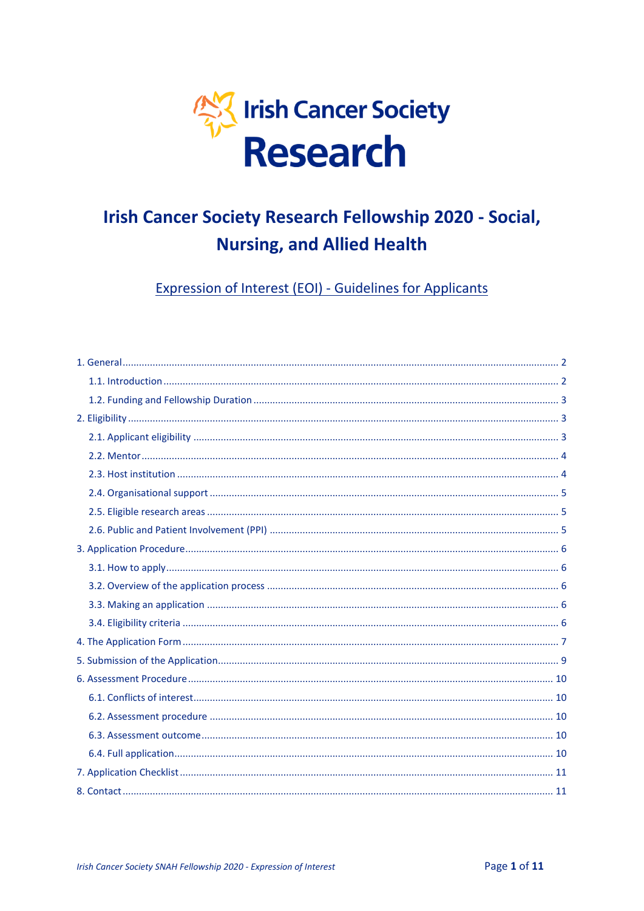

# **Irish Cancer Society Research Fellowship 2020 - Social, Nursing, and Allied Health**

**Expression of Interest (EOI) - Guidelines for Applicants**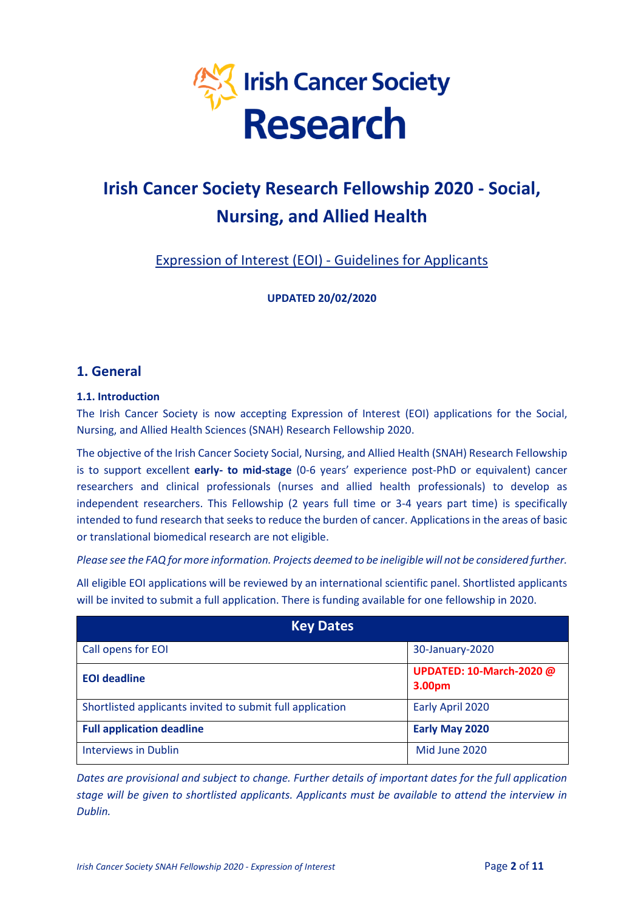

# **Irish Cancer Society Research Fellowship 2020 - Social, Nursing, and Allied Health**

# Expression of Interest (EOI) - Guidelines for Applicants

**UPDATED 20/02/2020**

### <span id="page-1-0"></span>**1. General**

### <span id="page-1-1"></span>**1.1. Introduction**

The Irish Cancer Society is now accepting Expression of Interest (EOI) applications for the Social, Nursing, and Allied Health Sciences (SNAH) Research Fellowship 2020.

The objective of the Irish Cancer Society Social, Nursing, and Allied Health (SNAH) Research Fellowship is to support excellent **early- to mid-stage** (0-6 years' experience post-PhD or equivalent) cancer researchers and clinical professionals (nurses and allied health professionals) to develop as independent researchers. This Fellowship (2 years full time or 3-4 years part time) is specifically intended to fund research that seeks to reduce the burden of cancer. Applications in the areas of basic or translational biomedical research are not eligible.

*Please see the FAQ for more information. Projects deemed to be ineligible will not be considered further.* 

All eligible EOI applications will be reviewed by an international scientific panel. Shortlisted applicants will be invited to submit a full application. There is funding available for one fellowship in 2020.

| <b>Key Dates</b>                                          |                                           |  |
|-----------------------------------------------------------|-------------------------------------------|--|
| Call opens for EOI                                        | 30-January-2020                           |  |
| <b>EOI</b> deadline                                       | <b>UPDATED: 10-March-2020 @</b><br>3.00pm |  |
| Shortlisted applicants invited to submit full application | Early April 2020                          |  |
| <b>Full application deadline</b>                          | Early May 2020                            |  |
| <b>Interviews in Dublin</b>                               | Mid June 2020                             |  |

*Dates are provisional and subject to change. Further details of important dates for the full application stage will be given to shortlisted applicants. Applicants must be available to attend the interview in Dublin.*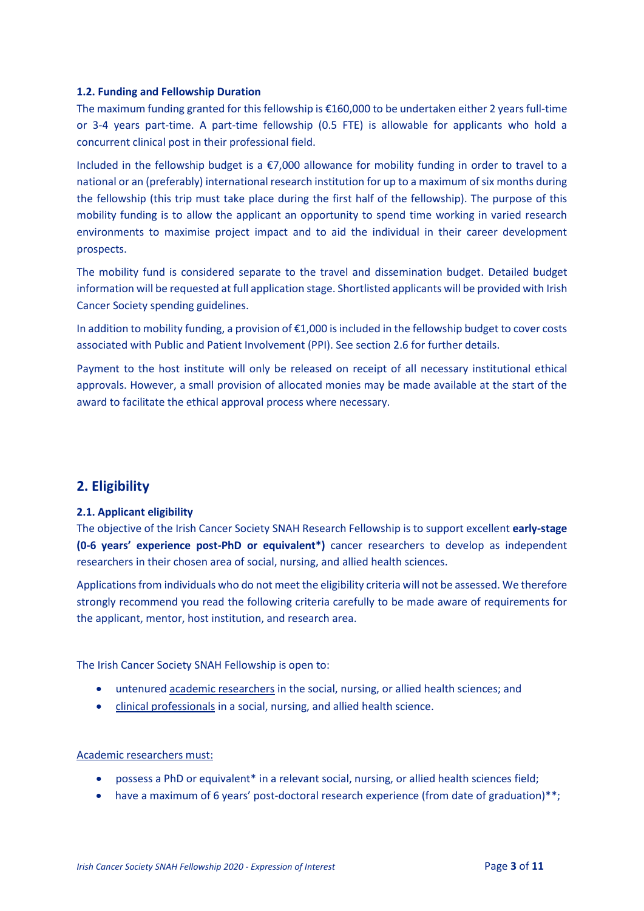### <span id="page-2-0"></span>**1.2. Funding and Fellowship Duration**

The maximum funding granted for this fellowship is €160,000 to be undertaken either 2 years full-time or 3-4 years part-time. A part-time fellowship (0.5 FTE) is allowable for applicants who hold a concurrent clinical post in their professional field.

Included in the fellowship budget is a €7,000 allowance for mobility funding in order to travel to a national or an (preferably) international research institution for up to a maximum of six months during the fellowship (this trip must take place during the first half of the fellowship). The purpose of this mobility funding is to allow the applicant an opportunity to spend time working in varied research environments to maximise project impact and to aid the individual in their career development prospects.

The mobility fund is considered separate to the travel and dissemination budget. Detailed budget information will be requested at full application stage. Shortlisted applicants will be provided with Irish Cancer Society spending guidelines.

In addition to mobility funding, a provision of €1,000 is included in the fellowship budget to cover costs associated with Public and Patient Involvement (PPI). See section 2.6 for further details.

Payment to the host institute will only be released on receipt of all necessary institutional ethical approvals. However, a small provision of allocated monies may be made available at the start of the award to facilitate the ethical approval process where necessary.

### <span id="page-2-1"></span>**2. Eligibility**

### <span id="page-2-2"></span>**2.1. Applicant eligibility**

The objective of the Irish Cancer Society SNAH Research Fellowship is to support excellent **early-stage (0-6 years' experience post-PhD or equivalent\*)** cancer researchers to develop as independent researchers in their chosen area of social, nursing, and allied health sciences.

Applications from individuals who do not meet the eligibility criteria will not be assessed. We therefore strongly recommend you read the following criteria carefully to be made aware of requirements for the applicant, mentor, host institution, and research area.

The Irish Cancer Society SNAH Fellowship is open to:

- untenured academic researchers in the social, nursing, or allied health sciences; and
- clinical professionals in a social, nursing, and allied health science.

### Academic researchers must:

- possess a PhD or equivalent\* in a relevant social, nursing, or allied health sciences field;
- have a maximum of 6 years' post-doctoral research experience (from date of graduation)\*\*;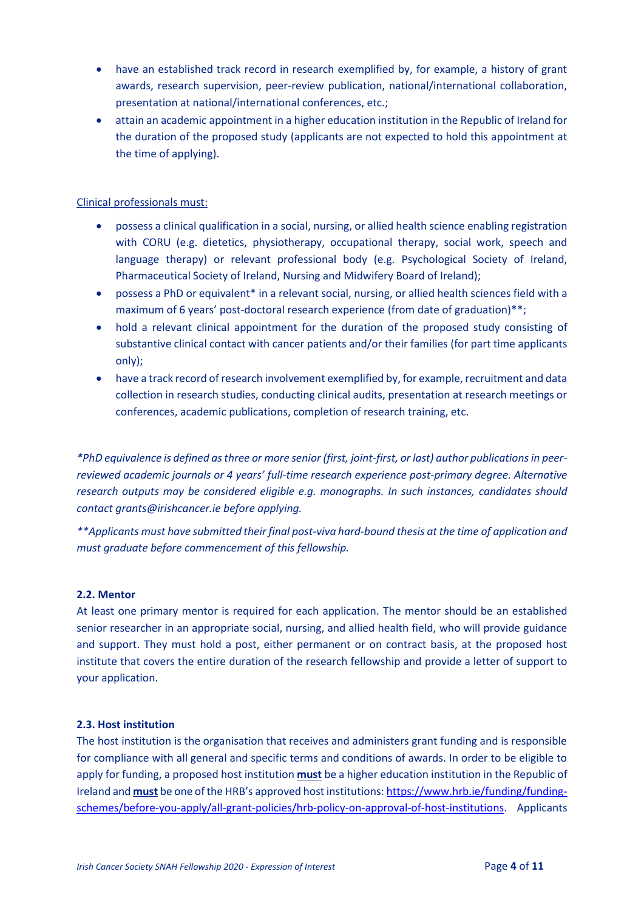- have an established track record in research exemplified by, for example, a history of grant awards, research supervision, peer-review publication, national/international collaboration, presentation at national/international conferences, etc.;
- attain an academic appointment in a higher education institution in the Republic of Ireland for the duration of the proposed study (applicants are not expected to hold this appointment at the time of applying).

### Clinical professionals must:

- possess a clinical qualification in a social, nursing, or allied health science enabling registration with CORU (e.g. dietetics, physiotherapy, occupational therapy, social work, speech and language therapy) or relevant professional body (e.g. Psychological Society of Ireland, Pharmaceutical Society of Ireland, Nursing and Midwifery Board of Ireland);
- possess a PhD or equivalent\* in a relevant social, nursing, or allied health sciences field with a maximum of 6 years' post-doctoral research experience (from date of graduation)\*\*;
- hold a relevant clinical appointment for the duration of the proposed study consisting of substantive clinical contact with cancer patients and/or their families (for part time applicants only);
- have a track record of research involvement exemplified by, for example, recruitment and data collection in research studies, conducting clinical audits, presentation at research meetings or conferences, academic publications, completion of research training, etc.

*\*PhD equivalence is defined as three or more senior (first, joint-first, or last) author publications in peerreviewed academic journals or 4 years' full-time research experience post-primary degree. Alternative research outputs may be considered eligible e.g. monographs. In such instances, candidates should contact grants@irishcancer.ie before applying.*

*\*\*Applicants must have submitted their final post-viva hard-bound thesis at the time of application and must graduate before commencement of this fellowship.* 

### <span id="page-3-0"></span>**2.2. Mentor**

At least one primary mentor is required for each application. The mentor should be an established senior researcher in an appropriate social, nursing, and allied health field, who will provide guidance and support. They must hold a post, either permanent or on contract basis, at the proposed host institute that covers the entire duration of the research fellowship and provide a letter of support to your application.

#### <span id="page-3-1"></span>**2.3. Host institution**

The host institution is the organisation that receives and administers grant funding and is responsible for compliance with all general and specific terms and conditions of awards. In order to be eligible to apply for funding, a proposed host institution **must** be a higher education institution in the Republic of Ireland and **must** be one of the HRB's approved host institutions: [https://www.hrb.ie/funding/funding](https://www.hrb.ie/funding/funding-schemes/before-you-apply/all-grant-policies/hrb-policy-on-approval-of-host-institutions)[schemes/before-you-apply/all-grant-policies/hrb-policy-on-approval-of-host-institutions.](https://www.hrb.ie/funding/funding-schemes/before-you-apply/all-grant-policies/hrb-policy-on-approval-of-host-institutions) Applicants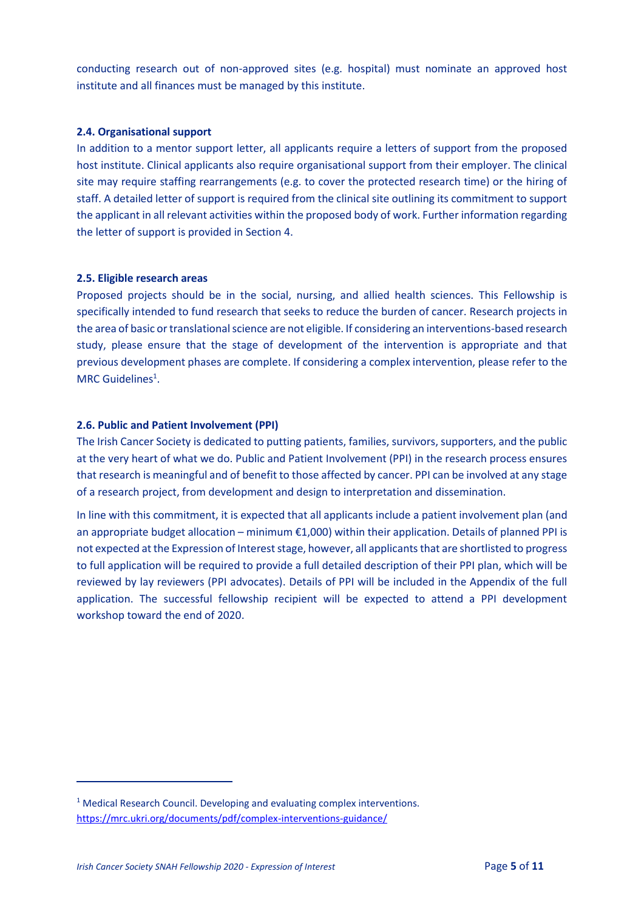conducting research out of non-approved sites (e.g. hospital) must nominate an approved host institute and all finances must be managed by this institute.

### <span id="page-4-0"></span>**2.4. Organisational support**

In addition to a mentor support letter, all applicants require a letters of support from the proposed host institute. Clinical applicants also require organisational support from their employer. The clinical site may require staffing rearrangements (e.g. to cover the protected research time) or the hiring of staff. A detailed letter of support is required from the clinical site outlining its commitment to support the applicant in all relevant activities within the proposed body of work. Further information regarding the letter of support is provided in Section 4.

### <span id="page-4-1"></span>**2.5. Eligible research areas**

Proposed projects should be in the social, nursing, and allied health sciences. This Fellowship is specifically intended to fund research that seeks to reduce the burden of cancer. Research projects in the area of basic or translational science are not eligible. If considering an interventions-based research study, please ensure that the stage of development of the intervention is appropriate and that previous development phases are complete. If considering a complex intervention, please refer to the MRC Guidelines<sup>1</sup>.

### <span id="page-4-2"></span>**2.6. Public and Patient Involvement (PPI)**

The Irish Cancer Society is dedicated to putting patients, families, survivors, supporters, and the public at the very heart of what we do. Public and Patient Involvement (PPI) in the research process ensures that research is meaningful and of benefit to those affected by cancer. PPI can be involved at any stage of a research project, from development and design to interpretation and dissemination.

In line with this commitment, it is expected that all applicants include a patient involvement plan (and an appropriate budget allocation – minimum €1,000) within their application. Details of planned PPI is not expected at the Expression of Interest stage, however, all applicants that are shortlisted to progress to full application will be required to provide a full detailed description of their PPI plan, which will be reviewed by lay reviewers (PPI advocates). Details of PPI will be included in the Appendix of the full application. The successful fellowship recipient will be expected to attend a PPI development workshop toward the end of 2020.

<span id="page-4-3"></span> $\overline{a}$ 

<sup>&</sup>lt;sup>1</sup> Medical Research Council. Developing and evaluating complex interventions. <https://mrc.ukri.org/documents/pdf/complex-interventions-guidance/>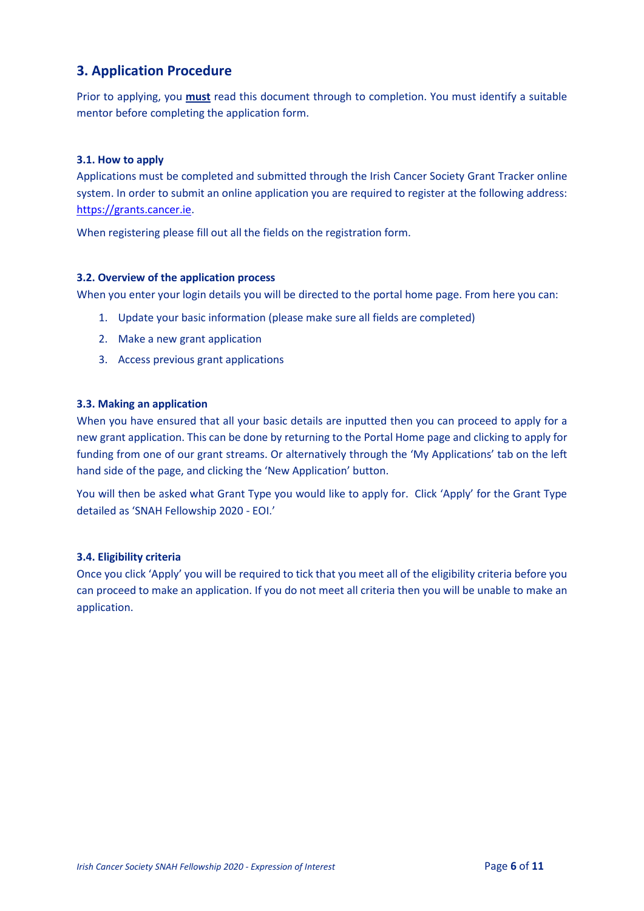# **3. Application Procedure**

Prior to applying, you **must** read this document through to completion. You must identify a suitable mentor before completing the application form.

### <span id="page-5-0"></span>**3.1. How to apply**

Applications must be completed and submitted through the Irish Cancer Society Grant Tracker online system. In order to submit an online application you are required to register at the following address: [https://grants.cancer.ie.](https://grants.cancer.ie/)

When registering please fill out all the fields on the registration form.

### <span id="page-5-1"></span>**3.2. Overview of the application process**

When you enter your login details you will be directed to the portal home page. From here you can:

- 1. Update your basic information (please make sure all fields are completed)
- 2. Make a new grant application
- 3. Access previous grant applications

### <span id="page-5-2"></span>**3.3. Making an application**

When you have ensured that all your basic details are inputted then you can proceed to apply for a new grant application. This can be done by returning to the Portal Home page and clicking to apply for funding from one of our grant streams. Or alternatively through the 'My Applications' tab on the left hand side of the page, and clicking the 'New Application' button.

You will then be asked what Grant Type you would like to apply for. Click 'Apply' for the Grant Type detailed as 'SNAH Fellowship 2020 - EOI.'

### <span id="page-5-3"></span>**3.4. Eligibility criteria**

<span id="page-5-4"></span>Once you click 'Apply' you will be required to tick that you meet all of the eligibility criteria before you can proceed to make an application. If you do not meet all criteria then you will be unable to make an application.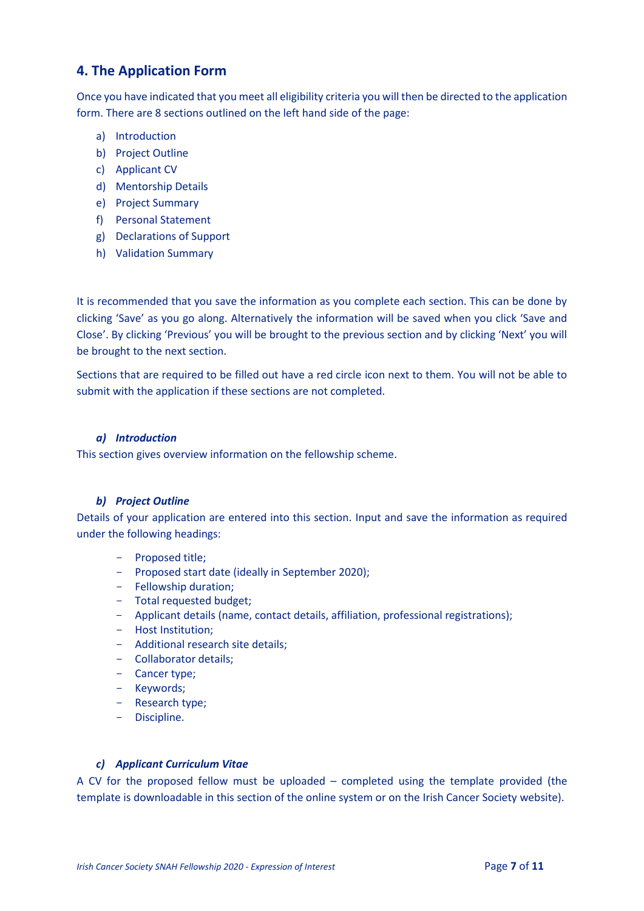# **4. The Application Form**

Once you have indicated that you meet all eligibility criteria you will then be directed to the application form. There are 8 sections outlined on the left hand side of the page:

- a) Introduction
- b) Project Outline
- c) Applicant CV
- d) Mentorship Details
- e) Project Summary
- f) Personal Statement
- g) Declarations of Support
- h) Validation Summary

It is recommended that you save the information as you complete each section. This can be done by clicking 'Save' as you go along. Alternatively the information will be saved when you click 'Save and Close'. By clicking 'Previous' you will be brought to the previous section and by clicking 'Next' you will be brought to the next section.

Sections that are required to be filled out have a red circle icon next to them. You will not be able to submit with the application if these sections are not completed.

### *a) Introduction*

This section gives overview information on the fellowship scheme.

### *b) Project Outline*

Details of your application are entered into this section. Input and save the information as required under the following headings:

- Proposed title;
- Proposed start date (ideally in September 2020);
- Fellowship duration;
- Total requested budget;
- Applicant details (name, contact details, affiliation, professional registrations);
- Host Institution;
- Additional research site details;
- Collaborator details;
- Cancer type;
- Keywords;
- Research type;
- Discipline.

### *c) Applicant Curriculum Vitae*

A CV for the proposed fellow must be uploaded – completed using the template provided (the template is downloadable in this section of the online system or on the Irish Cancer Society website).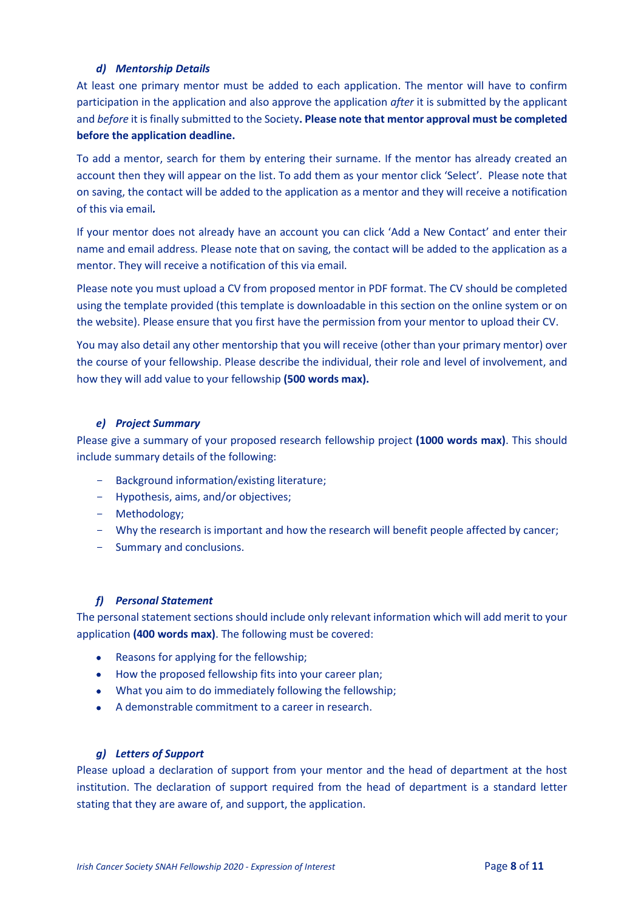### *d) Mentorship Details*

At least one primary mentor must be added to each application. The mentor will have to confirm participation in the application and also approve the application *after* it is submitted by the applicant and *before* it is finally submitted to the Society**. Please note that mentor approval must be completed before the application deadline.**

To add a mentor, search for them by entering their surname. If the mentor has already created an account then they will appear on the list. To add them as your mentor click 'Select'. Please note that on saving, the contact will be added to the application as a mentor and they will receive a notification of this via email*.*

If your mentor does not already have an account you can click 'Add a New Contact' and enter their name and email address. Please note that on saving, the contact will be added to the application as a mentor. They will receive a notification of this via email.

Please note you must upload a CV from proposed mentor in PDF format. The CV should be completed using the template provided (this template is downloadable in this section on the online system or on the website). Please ensure that you first have the permission from your mentor to upload their CV.

You may also detail any other mentorship that you will receive (other than your primary mentor) over the course of your fellowship. Please describe the individual, their role and level of involvement, and how they will add value to your fellowship **(500 words max).** 

### *e) Project Summary*

Please give a summary of your proposed research fellowship project **(1000 words max)**. This should include summary details of the following:

- Background information/existing literature;
- Hypothesis, aims, and/or objectives;
- Methodology;
- Why the research is important and how the research will benefit people affected by cancer;
- Summary and conclusions.

### *f) Personal Statement*

The personal statement sections should include only relevant information which will add merit to your application **(400 words max)**. The following must be covered:

- Reasons for applying for the fellowship;
- How the proposed fellowship fits into your career plan;
- What you aim to do immediately following the fellowship;
- A demonstrable commitment to a career in research.

### *g) Letters of Support*

Please upload a declaration of support from your mentor and the head of department at the host institution. The declaration of support required from the head of department is a standard letter stating that they are aware of, and support, the application.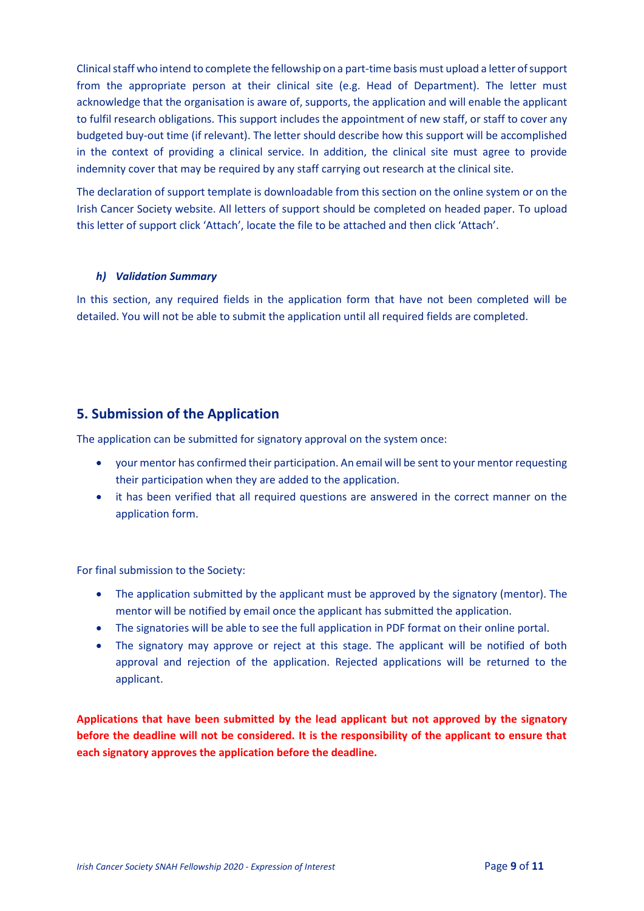Clinical staff who intend to complete the fellowship on a part-time basis must upload a letter of support from the appropriate person at their clinical site (e.g. Head of Department). The letter must acknowledge that the organisation is aware of, supports, the application and will enable the applicant to fulfil research obligations. This support includes the appointment of new staff, or staff to cover any budgeted buy-out time (if relevant). The letter should describe how this support will be accomplished in the context of providing a clinical service. In addition, the clinical site must agree to provide indemnity cover that may be required by any staff carrying out research at the clinical site.

The declaration of support template is downloadable from this section on the online system or on the Irish Cancer Society website. All letters of support should be completed on headed paper. To upload this letter of support click 'Attach', locate the file to be attached and then click 'Attach'.

### *h) Validation Summary*

In this section, any required fields in the application form that have not been completed will be detailed. You will not be able to submit the application until all required fields are completed.

## <span id="page-8-0"></span>**5. Submission of the Application**

The application can be submitted for signatory approval on the system once:

- your mentor has confirmed their participation. An email will be sent to your mentor requesting their participation when they are added to the application.
- it has been verified that all required questions are answered in the correct manner on the application form.

For final submission to the Society:

- The application submitted by the applicant must be approved by the signatory (mentor). The mentor will be notified by email once the applicant has submitted the application.
- The signatories will be able to see the full application in PDF format on their online portal.
- The signatory may approve or reject at this stage. The applicant will be notified of both approval and rejection of the application. Rejected applications will be returned to the applicant.

**Applications that have been submitted by the lead applicant but not approved by the signatory before the deadline will not be considered. It is the responsibility of the applicant to ensure that each signatory approves the application before the deadline.**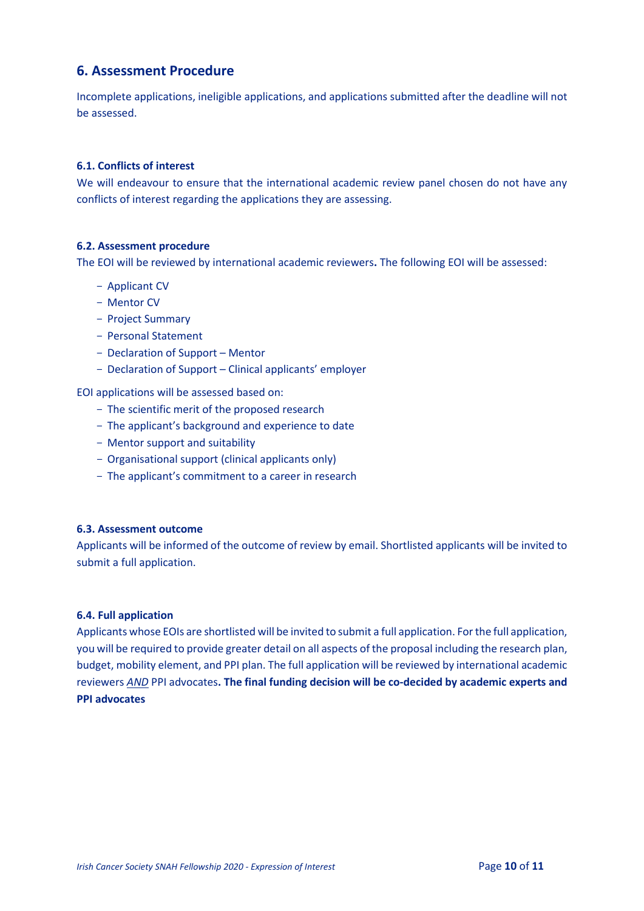### <span id="page-9-0"></span>**6. Assessment Procedure**

Incomplete applications, ineligible applications, and applications submitted after the deadline will not be assessed.

### <span id="page-9-1"></span>**6.1. Conflicts of interest**

We will endeavour to ensure that the international academic review panel chosen do not have any conflicts of interest regarding the applications they are assessing.

### <span id="page-9-2"></span>**6.2. Assessment procedure**

The EOI will be reviewed by international academic reviewers**.** The following EOI will be assessed:

- Applicant CV
- Mentor CV
- Project Summary
- Personal Statement
- Declaration of Support Mentor
- Declaration of Support Clinical applicants' employer

EOI applications will be assessed based on:

- The scientific merit of the proposed research
- The applicant's background and experience to date
- Mentor support and suitability
- Organisational support (clinical applicants only)
- The applicant's commitment to a career in research

### <span id="page-9-3"></span>**6.3. Assessment outcome**

Applicants will be informed of the outcome of review by email. Shortlisted applicants will be invited to submit a full application.

### <span id="page-9-4"></span>**6.4. Full application**

<span id="page-9-5"></span>Applicants whose EOIs are shortlisted will be invited to submit a full application. For the full application, you will be required to provide greater detail on all aspects of the proposal including the research plan, budget, mobility element, and PPI plan. The full application will be reviewed by international academic reviewers *AND* PPI advocates**. The final funding decision will be co-decided by academic experts and PPI advocates**